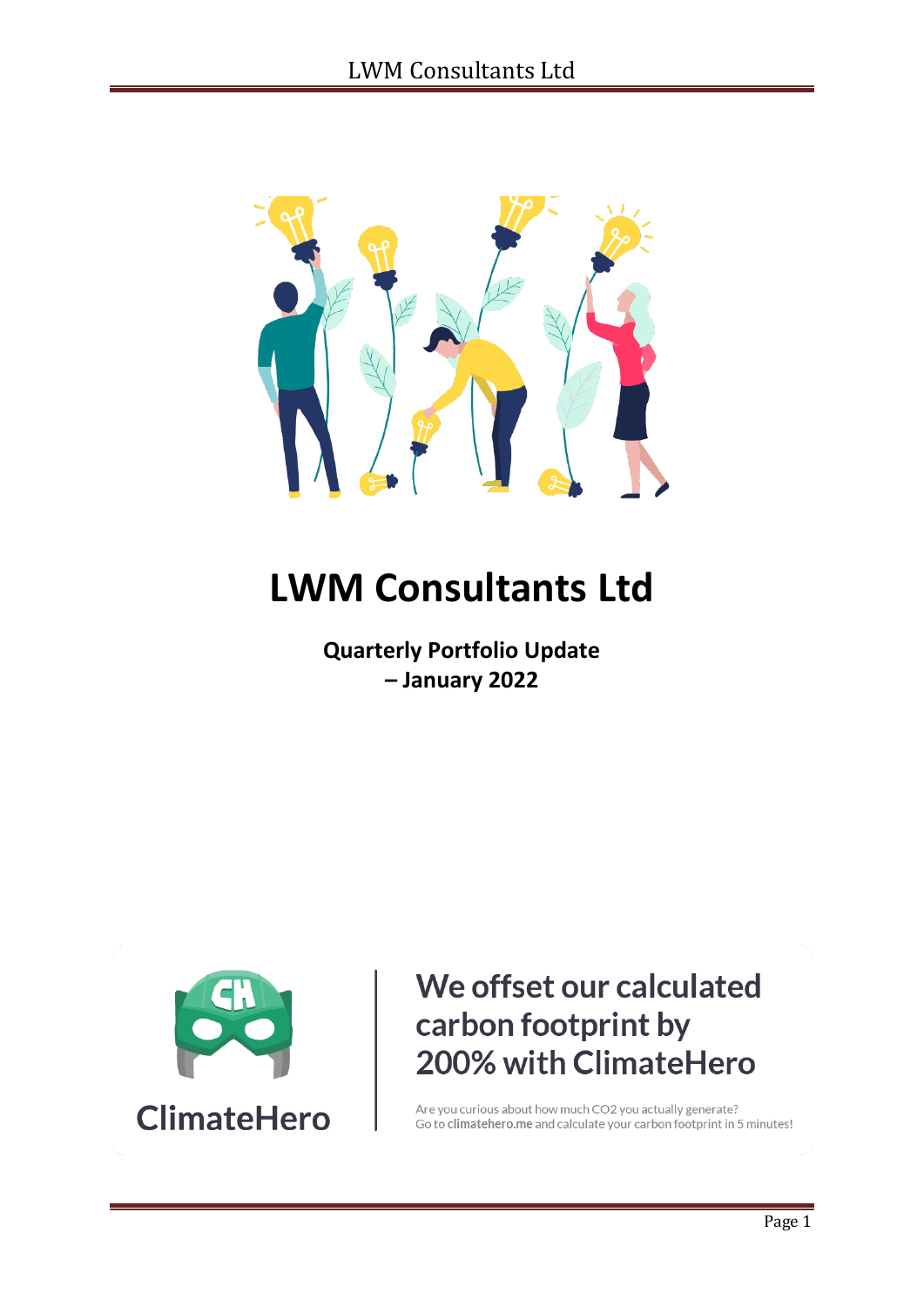

# **LWM Consultants Ltd**

**Quarterly Portfolio Update – January 2022**



## We offset our calculated carbon footprint by 200% with ClimateHero

Are you curious about how much CO2 you actually generate? Go to climatehero.me and calculate your carbon footprint in 5 minutes!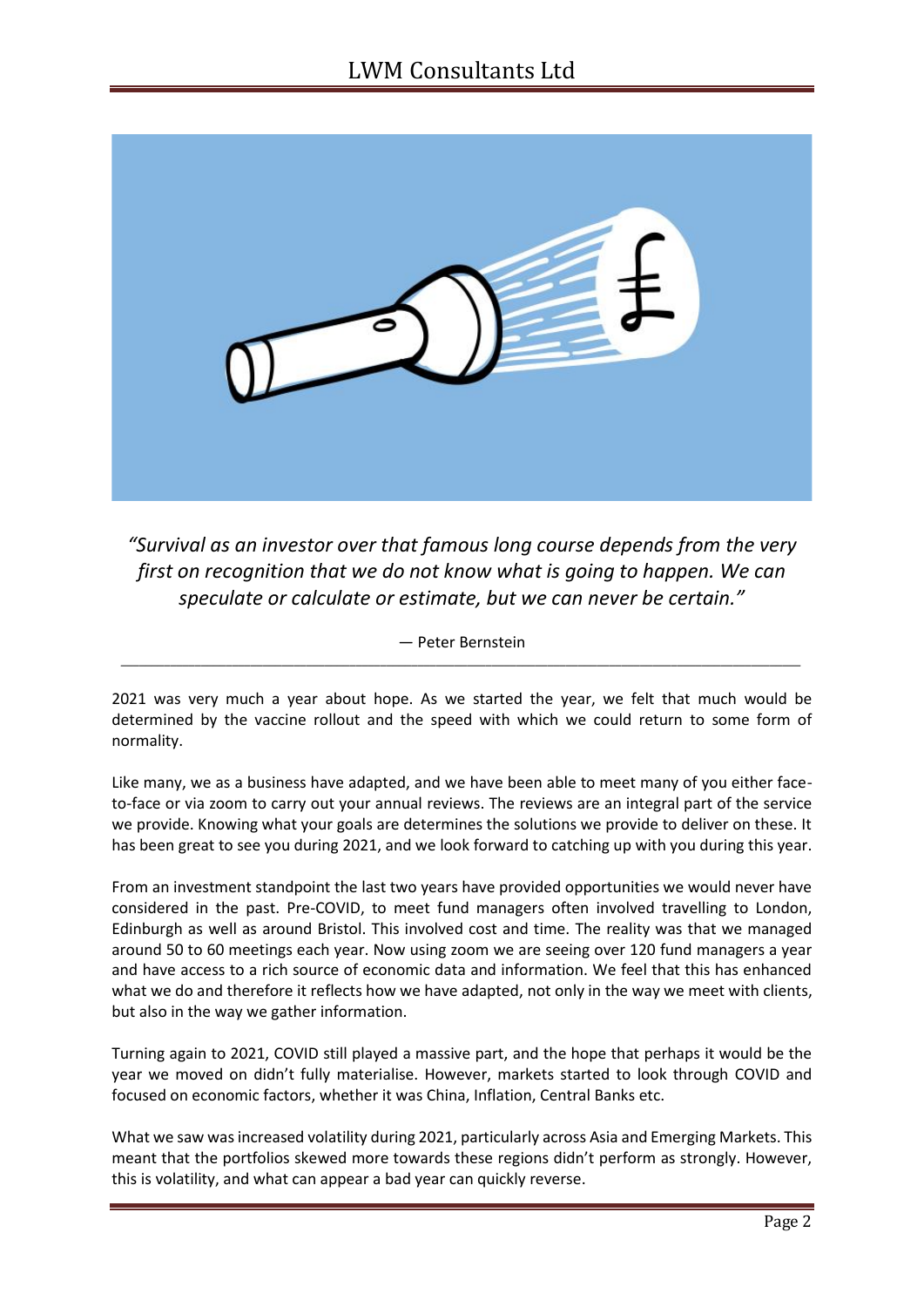

*"Survival as an investor over that famous long course depends from the very first on recognition that we do not know what is going to happen. We can speculate or calculate or estimate, but we can never be certain."*

― Peter Bernstein *\_\_\_\_\_\_\_\_\_\_\_\_\_\_\_\_\_\_\_\_\_\_\_\_\_\_\_\_\_\_\_\_\_\_\_\_\_\_\_\_\_\_\_\_\_\_\_\_\_\_\_\_\_\_\_\_\_\_\_\_\_\_\_\_\_\_\_\_\_\_\_\_\_\_\_\_\_\_\_\_\_\_\_\_\_\_\_\_\_\_\_\_\_\_\_\_\_\_\_\_\_\_\_\_\_\_\_\_\_\_*

2021 was very much a year about hope. As we started the year, we felt that much would be determined by the vaccine rollout and the speed with which we could return to some form of normality.

Like many, we as a business have adapted, and we have been able to meet many of you either faceto-face or via zoom to carry out your annual reviews. The reviews are an integral part of the service we provide. Knowing what your goals are determines the solutions we provide to deliver on these. It has been great to see you during 2021, and we look forward to catching up with you during this year.

From an investment standpoint the last two years have provided opportunities we would never have considered in the past. Pre-COVID, to meet fund managers often involved travelling to London, Edinburgh as well as around Bristol. This involved cost and time. The reality was that we managed around 50 to 60 meetings each year. Now using zoom we are seeing over 120 fund managers a year and have access to a rich source of economic data and information. We feel that this has enhanced what we do and therefore it reflects how we have adapted, not only in the way we meet with clients, but also in the way we gather information.

Turning again to 2021, COVID still played a massive part, and the hope that perhaps it would be the year we moved on didn't fully materialise. However, markets started to look through COVID and focused on economic factors, whether it was China, Inflation, Central Banks etc.

What we saw was increased volatility during 2021, particularly across Asia and Emerging Markets. This meant that the portfolios skewed more towards these regions didn't perform as strongly. However, this is volatility, and what can appear a bad year can quickly reverse.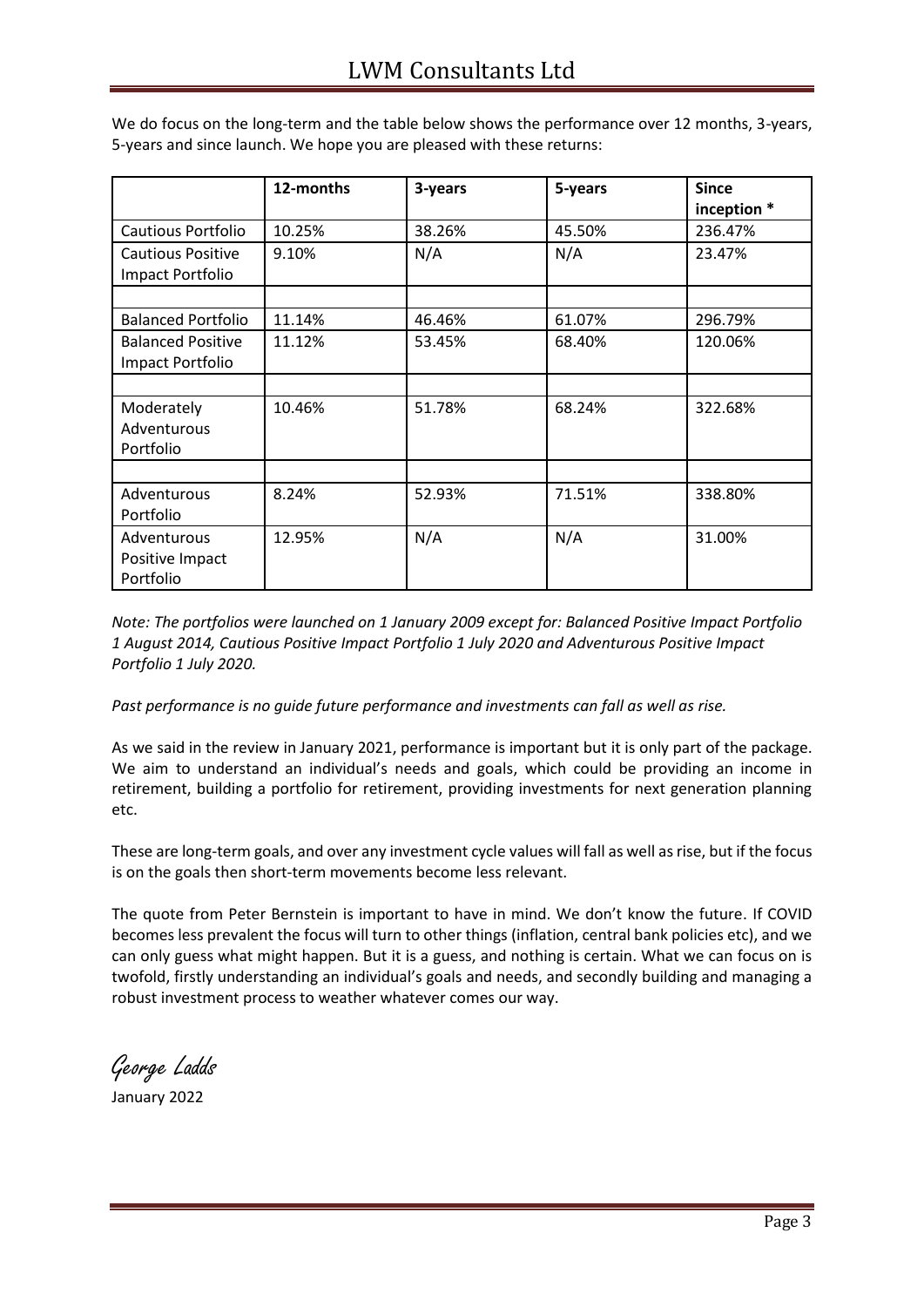|                                              | 12-months | 3-years | 5-years | <b>Since</b><br>inception * |
|----------------------------------------------|-----------|---------|---------|-----------------------------|
| <b>Cautious Portfolio</b>                    | 10.25%    | 38.26%  | 45.50%  | 236.47%                     |
| <b>Cautious Positive</b><br>Impact Portfolio | 9.10%     | N/A     | N/A     | 23.47%                      |
|                                              |           |         |         |                             |
| <b>Balanced Portfolio</b>                    | 11.14%    | 46.46%  | 61.07%  | 296.79%                     |
| <b>Balanced Positive</b><br>Impact Portfolio | 11.12%    | 53.45%  | 68.40%  | 120.06%                     |
|                                              |           |         |         |                             |
| Moderately<br>Adventurous<br>Portfolio       | 10.46%    | 51.78%  | 68.24%  | 322.68%                     |
|                                              |           |         |         |                             |
| Adventurous<br>Portfolio                     | 8.24%     | 52.93%  | 71.51%  | 338.80%                     |
| Adventurous<br>Positive Impact<br>Portfolio  | 12.95%    | N/A     | N/A     | 31.00%                      |

We do focus on the long-term and the table below shows the performance over 12 months, 3-years, 5-years and since launch. We hope you are pleased with these returns:

*Note: The portfolios were launched on 1 January 2009 except for: Balanced Positive Impact Portfolio 1 August 2014, Cautious Positive Impact Portfolio 1 July 2020 and Adventurous Positive Impact Portfolio 1 July 2020.* 

*Past performance is no guide future performance and investments can fall as well as rise.* 

As we said in the review in January 2021, performance is important but it is only part of the package. We aim to understand an individual's needs and goals, which could be providing an income in retirement, building a portfolio for retirement, providing investments for next generation planning etc.

These are long-term goals, and over any investment cycle values will fall as well as rise, but if the focus is on the goals then short-term movements become less relevant.

The quote from Peter Bernstein is important to have in mind. We don't know the future. If COVID becomes less prevalent the focus will turn to other things (inflation, central bank policies etc), and we can only guess what might happen. But it is a guess, and nothing is certain. What we can focus on is twofold, firstly understanding an individual's goals and needs, and secondly building and managing a robust investment process to weather whatever comes our way.

George Ladds

January 2022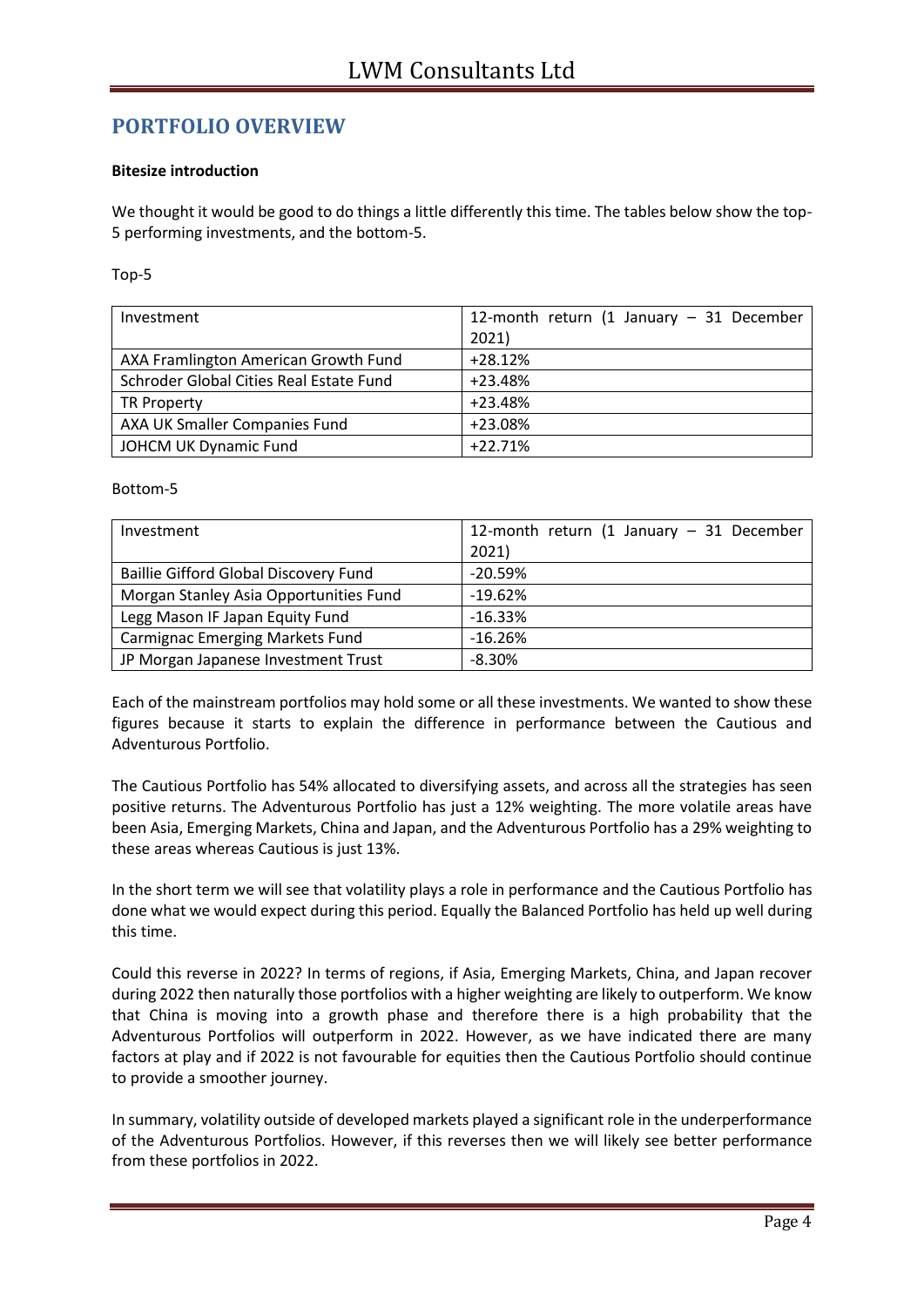### **PORTFOLIO OVERVIEW**

#### **Bitesize introduction**

We thought it would be good to do things a little differently this time. The tables below show the top-5 performing investments, and the bottom-5.

#### Top-5

| Investment                              | 12-month return (1 January $-$ 31 December |
|-----------------------------------------|--------------------------------------------|
|                                         | 2021)                                      |
| AXA Framlington American Growth Fund    | $+28.12%$                                  |
| Schroder Global Cities Real Estate Fund | $+23.48%$                                  |
| <b>TR Property</b>                      | $+23.48%$                                  |
| AXA UK Smaller Companies Fund           | +23.08%                                    |
| JOHCM UK Dynamic Fund                   | $+22.71%$                                  |

#### Bottom-5

| Investment                                   | 12-month return (1 January $-$ 31 December |
|----------------------------------------------|--------------------------------------------|
|                                              | 2021)                                      |
| <b>Baillie Gifford Global Discovery Fund</b> | $-20.59%$                                  |
| Morgan Stanley Asia Opportunities Fund       | $-19.62%$                                  |
| Legg Mason IF Japan Equity Fund              | $-16.33%$                                  |
| <b>Carmignac Emerging Markets Fund</b>       | $-16.26%$                                  |
| JP Morgan Japanese Investment Trust          | $-8.30%$                                   |

Each of the mainstream portfolios may hold some or all these investments. We wanted to show these figures because it starts to explain the difference in performance between the Cautious and Adventurous Portfolio.

The Cautious Portfolio has 54% allocated to diversifying assets, and across all the strategies has seen positive returns. The Adventurous Portfolio has just a 12% weighting. The more volatile areas have been Asia, Emerging Markets, China and Japan, and the Adventurous Portfolio has a 29% weighting to these areas whereas Cautious is just 13%.

In the short term we will see that volatility plays a role in performance and the Cautious Portfolio has done what we would expect during this period. Equally the Balanced Portfolio has held up well during this time.

Could this reverse in 2022? In terms of regions, if Asia, Emerging Markets, China, and Japan recover during 2022 then naturally those portfolios with a higher weighting are likely to outperform. We know that China is moving into a growth phase and therefore there is a high probability that the Adventurous Portfolios will outperform in 2022. However, as we have indicated there are many factors at play and if 2022 is not favourable for equities then the Cautious Portfolio should continue to provide a smoother journey.

In summary, volatility outside of developed markets played a significant role in the underperformance of the Adventurous Portfolios. However, if this reverses then we will likely see better performance from these portfolios in 2022.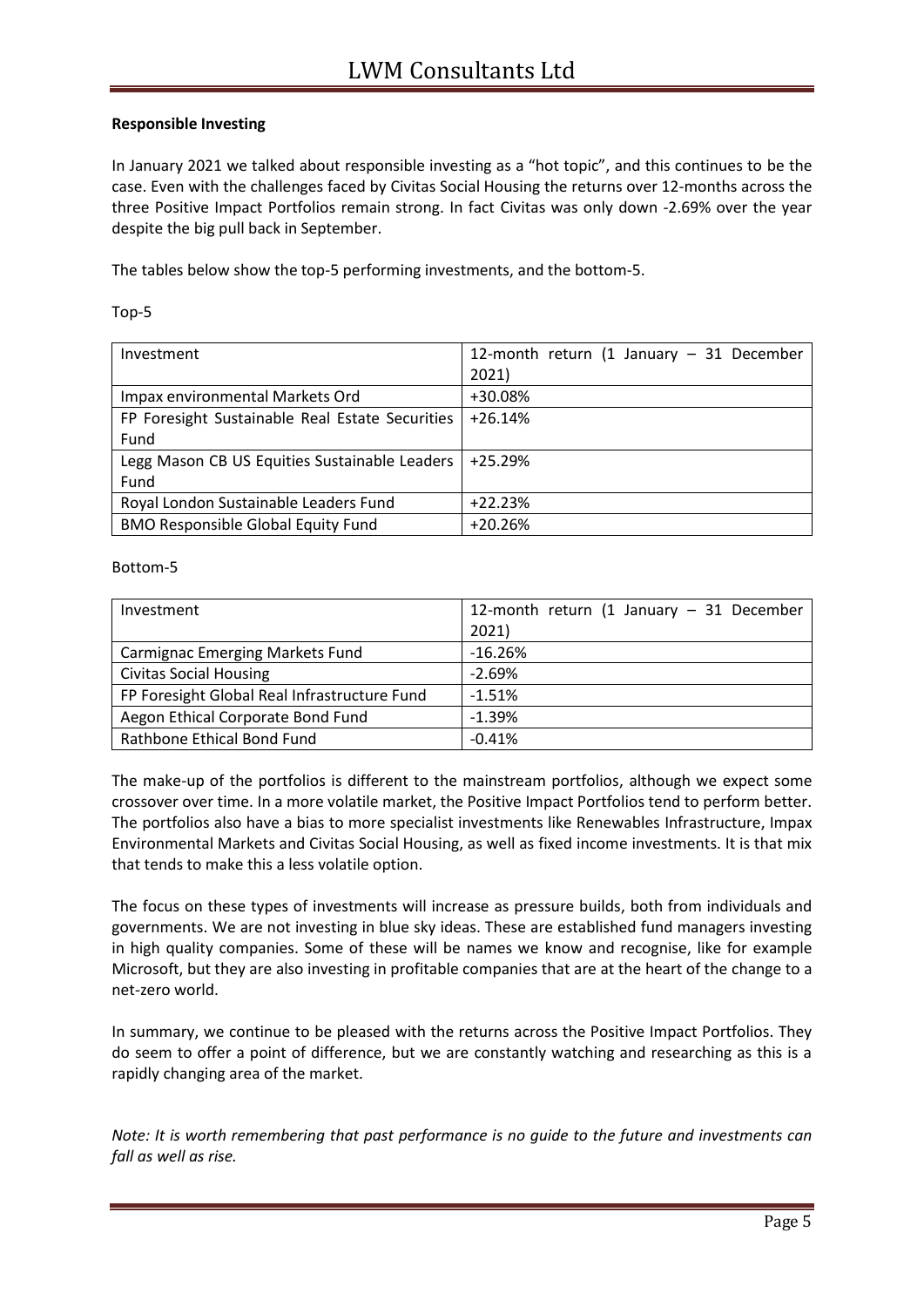#### **Responsible Investing**

In January 2021 we talked about responsible investing as a "hot topic", and this continues to be the case. Even with the challenges faced by Civitas Social Housing the returns over 12-months across the three Positive Impact Portfolios remain strong. In fact Civitas was only down -2.69% over the year despite the big pull back in September.

The tables below show the top-5 performing investments, and the bottom-5.

| Investment                                      | 12-month return (1 January $-$ 31 December |
|-------------------------------------------------|--------------------------------------------|
|                                                 | 2021)                                      |
| Impax environmental Markets Ord                 | +30.08%                                    |
| FP Foresight Sustainable Real Estate Securities | $+26.14%$                                  |
| Fund                                            |                                            |
| Legg Mason CB US Equities Sustainable Leaders   | $+25.29%$                                  |
| Fund                                            |                                            |
| Royal London Sustainable Leaders Fund           | $+22.23%$                                  |
| <b>BMO Responsible Global Equity Fund</b>       | $+20.26%$                                  |

#### Bottom-5

| Investment                                   | 12-month return (1 January $-$ 31 December |
|----------------------------------------------|--------------------------------------------|
|                                              | 2021)                                      |
| <b>Carmignac Emerging Markets Fund</b>       | $-16.26%$                                  |
| <b>Civitas Social Housing</b>                | $-2.69%$                                   |
| FP Foresight Global Real Infrastructure Fund | $-1.51%$                                   |
| Aegon Ethical Corporate Bond Fund            | $-1.39%$                                   |
| Rathbone Ethical Bond Fund                   | $-0.41%$                                   |

The make-up of the portfolios is different to the mainstream portfolios, although we expect some crossover over time. In a more volatile market, the Positive Impact Portfolios tend to perform better. The portfolios also have a bias to more specialist investments like Renewables Infrastructure, Impax Environmental Markets and Civitas Social Housing, as well as fixed income investments. It is that mix that tends to make this a less volatile option.

The focus on these types of investments will increase as pressure builds, both from individuals and governments. We are not investing in blue sky ideas. These are established fund managers investing in high quality companies. Some of these will be names we know and recognise, like for example Microsoft, but they are also investing in profitable companies that are at the heart of the change to a net-zero world.

In summary, we continue to be pleased with the returns across the Positive Impact Portfolios. They do seem to offer a point of difference, but we are constantly watching and researching as this is a rapidly changing area of the market.

*Note: It is worth remembering that past performance is no guide to the future and investments can fall as well as rise.*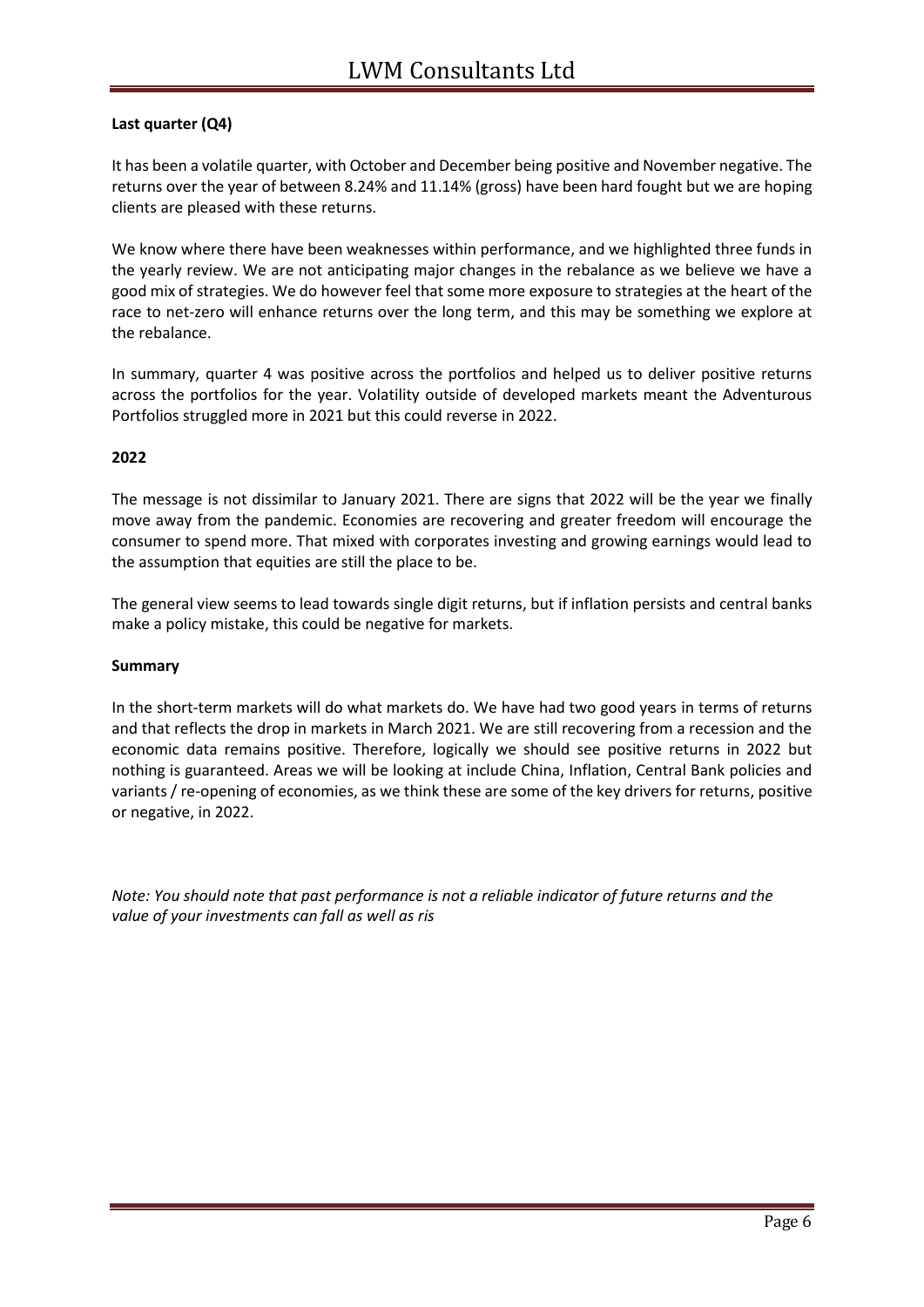#### **Last quarter (Q4)**

It has been a volatile quarter, with October and December being positive and November negative. The returns over the year of between 8.24% and 11.14% (gross) have been hard fought but we are hoping clients are pleased with these returns.

We know where there have been weaknesses within performance, and we highlighted three funds in the yearly review. We are not anticipating major changes in the rebalance as we believe we have a good mix of strategies. We do however feel that some more exposure to strategies at the heart of the race to net-zero will enhance returns over the long term, and this may be something we explore at the rebalance.

In summary, quarter 4 was positive across the portfolios and helped us to deliver positive returns across the portfolios for the year. Volatility outside of developed markets meant the Adventurous Portfolios struggled more in 2021 but this could reverse in 2022.

#### **2022**

The message is not dissimilar to January 2021. There are signs that 2022 will be the year we finally move away from the pandemic. Economies are recovering and greater freedom will encourage the consumer to spend more. That mixed with corporates investing and growing earnings would lead to the assumption that equities are still the place to be.

The general view seems to lead towards single digit returns, but if inflation persists and central banks make a policy mistake, this could be negative for markets.

#### **Summary**

In the short-term markets will do what markets do. We have had two good years in terms of returns and that reflects the drop in markets in March 2021. We are still recovering from a recession and the economic data remains positive. Therefore, logically we should see positive returns in 2022 but nothing is guaranteed. Areas we will be looking at include China, Inflation, Central Bank policies and variants / re-opening of economies, as we think these are some of the key drivers for returns, positive or negative, in 2022.

*Note: You should note that past performance is not a reliable indicator of future returns and the value of your investments can fall as well as ris*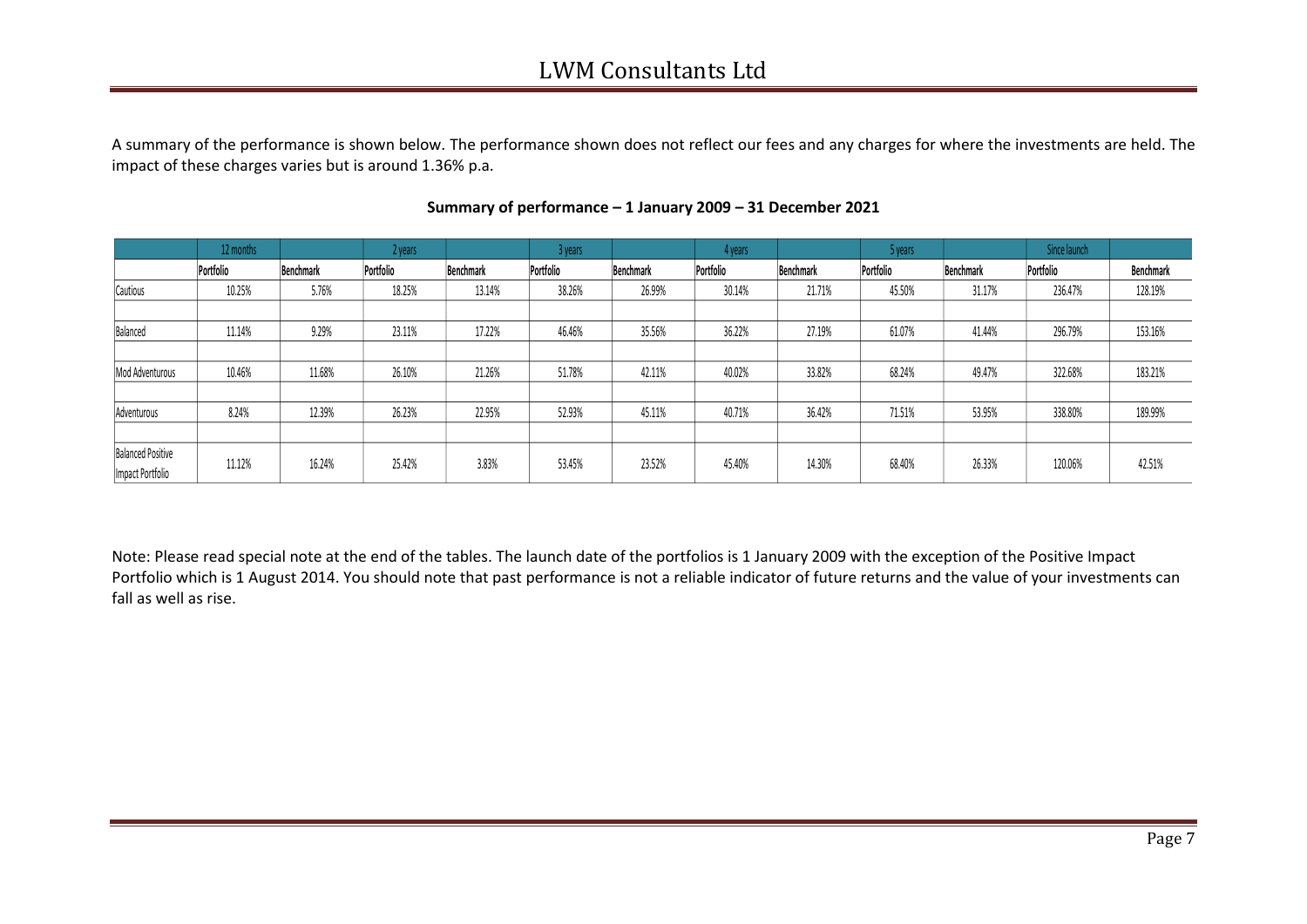## LWM Consultants Ltd

A summary of the performance is shown below. The performance shown does not reflect our fees and any charges for where the investments are held. The impact of these charges varies but is around 1.36% p.a.

|                          | 12 months |           | 2 years   |                  | 3 years   |           | l vears   |           | 5 years   |                  | Since launch |           |
|--------------------------|-----------|-----------|-----------|------------------|-----------|-----------|-----------|-----------|-----------|------------------|--------------|-----------|
|                          | Portfolio | Benchmark | Portfolio | <b>Benchmark</b> | Portfolio | Benchmark | Portfolio | Benchmark | Portfolio | <b>Benchmark</b> | Portfolio    | Benchmark |
| Cautious                 | 10.25%    | 5.76%     | 18.25%    | 13.14%           | 38.26%    | 26.99%    | 30.14%    | 21.71%    | 45.50%    | 31.17%           | 236.47%      | 128.19%   |
|                          |           |           |           |                  |           |           |           |           |           |                  |              |           |
| Balanced                 | 11.14%    | 9.29%     | 23.11%    | 17.22%           | 46.46%    | 35.56%    | 36.22%    | 27.19%    | 61.07%    | 41.44%           | 296.79%      | 153.16%   |
|                          |           |           |           |                  |           |           |           |           |           |                  |              |           |
| Mod Adventurous          | 10.46%    | 11.68%    | 26.10%    | 21.26%           | 51.78%    | 42.11%    | 40.02%    | 33.82%    | 68.24%    | 49.47%           | 322.68%      | 183.21%   |
|                          |           |           |           |                  |           |           |           |           |           |                  |              |           |
| Adventurous              | 8.24%     | 12.39%    | 26.23%    | 22.95%           | 52.93%    | 45.11%    | 40.71%    | 36.42%    | 71.51%    | 53.95%           | 338.80%      | 189.99%   |
|                          |           |           |           |                  |           |           |           |           |           |                  |              |           |
| <b>Balanced Positive</b> |           |           |           | 3.83%            |           |           |           |           |           |                  |              |           |
| Impact Portfolio         | 11.12%    | 16.24%    | 25.42%    |                  | 53.45%    | 23.52%    | 45.40%    | 14.30%    | 68.40%    | 26.33%           | 120.06%      | 42.51%    |

#### **Summary of performance – 1 January 2009 – 31 December 2021**

Note: Please read special note at the end of the tables. The launch date of the portfolios is 1 January 2009 with the exception of the Positive Impact Portfolio which is 1 August 2014. You should note that past performance is not a reliable indicator of future returns and the value of your investments can fall as well as rise.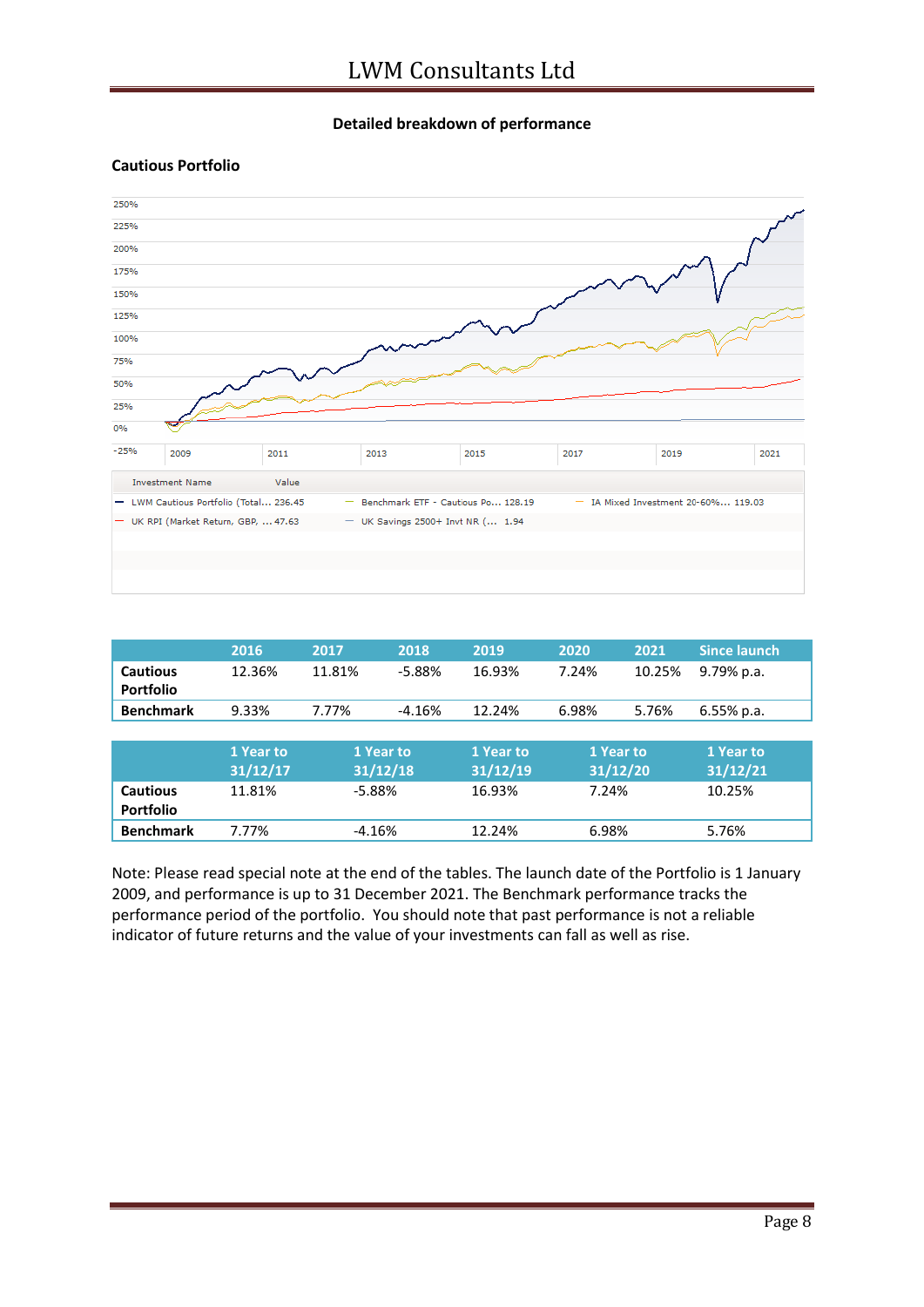#### **Detailed breakdown of performance**

#### **Cautious Portfolio**



|                  | 2016      | 2017     | 2018      | 2019      | 2020     | 2021      | Since launch. |
|------------------|-----------|----------|-----------|-----------|----------|-----------|---------------|
| <b>Cautious</b>  | 12.36%    | 11.81%   | $-5.88%$  | 16.93%    | 7.24%    | 10.25%    | 9.79% p.a.    |
| <b>Portfolio</b> |           |          |           |           |          |           |               |
| <b>Benchmark</b> | 9.33%     | 7.77%    | $-4.16%$  | 12.24%    | 6.98%    | 5.76%     | 6.55% p.a.    |
|                  |           |          |           |           |          |           |               |
|                  | 1 Year to |          | 1 Year to | 1 Year to |          | 1 Year to | 1 Year to     |
|                  |           | 31/12/18 |           |           | 31/12/20 |           |               |
|                  | 31/12/17  |          |           | 31/12/19  |          |           | 31/12/21      |
| <b>Cautious</b>  | 11.81%    | $-5.88%$ |           | 16.93%    | 7.24%    |           | 10.25%        |
| <b>Portfolio</b> |           |          |           |           |          |           |               |

Note: Please read special note at the end of the tables. The launch date of the Portfolio is 1 January 2009, and performance is up to 31 December 2021. The Benchmark performance tracks the performance period of the portfolio. You should note that past performance is not a reliable indicator of future returns and the value of your investments can fall as well as rise.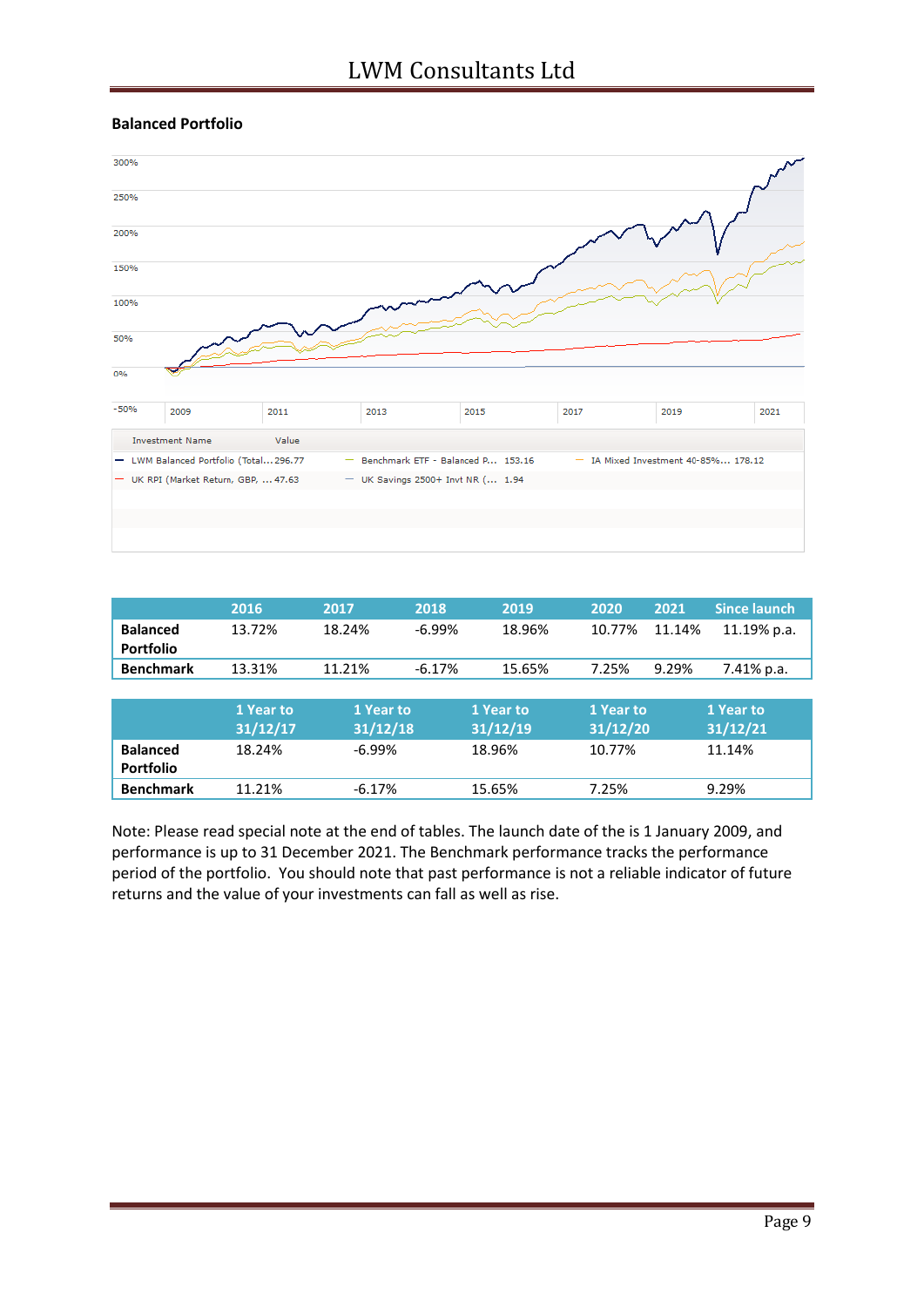

|                  | 2016      | 2017      | 2018     | 2019      | 2020      | 2021   | <b>Since launch</b> |
|------------------|-----------|-----------|----------|-----------|-----------|--------|---------------------|
| <b>Balanced</b>  | 13.72%    | 18.24%    | $-6.99%$ | 18.96%    | 10.77%    | 11.14% | 11.19% p.a.         |
| <b>Portfolio</b> |           |           |          |           |           |        |                     |
| <b>Benchmark</b> | 13.31%    | 11.21%    | $-6.17%$ | 15.65%    | 7.25%     | 9.29%  | 7.41% p.a.          |
|                  |           |           |          |           |           |        |                     |
|                  | 1 Year to | 1 Year to |          | 1 Year to | 1 Year to |        | 1 Year to           |
|                  | 31/12/17  | 31/12/18  |          | 31/12/19  | 31/12/20  |        | 31/12/21            |
| <b>Balanced</b>  | 18.24%    | $-6.99\%$ |          | 18.96%    | 10.77%    |        | 11.14%              |
| <b>Portfolio</b> |           |           |          |           |           |        |                     |
| <b>Benchmark</b> | 11.21%    | $-6.17%$  |          | 15.65%    | 7.25%     |        | 9.29%               |

Note: Please read special note at the end of tables. The launch date of the is 1 January 2009, and performance is up to 31 December 2021. The Benchmark performance tracks the performance period of the portfolio. You should note that past performance is not a reliable indicator of future returns and the value of your investments can fall as well as rise.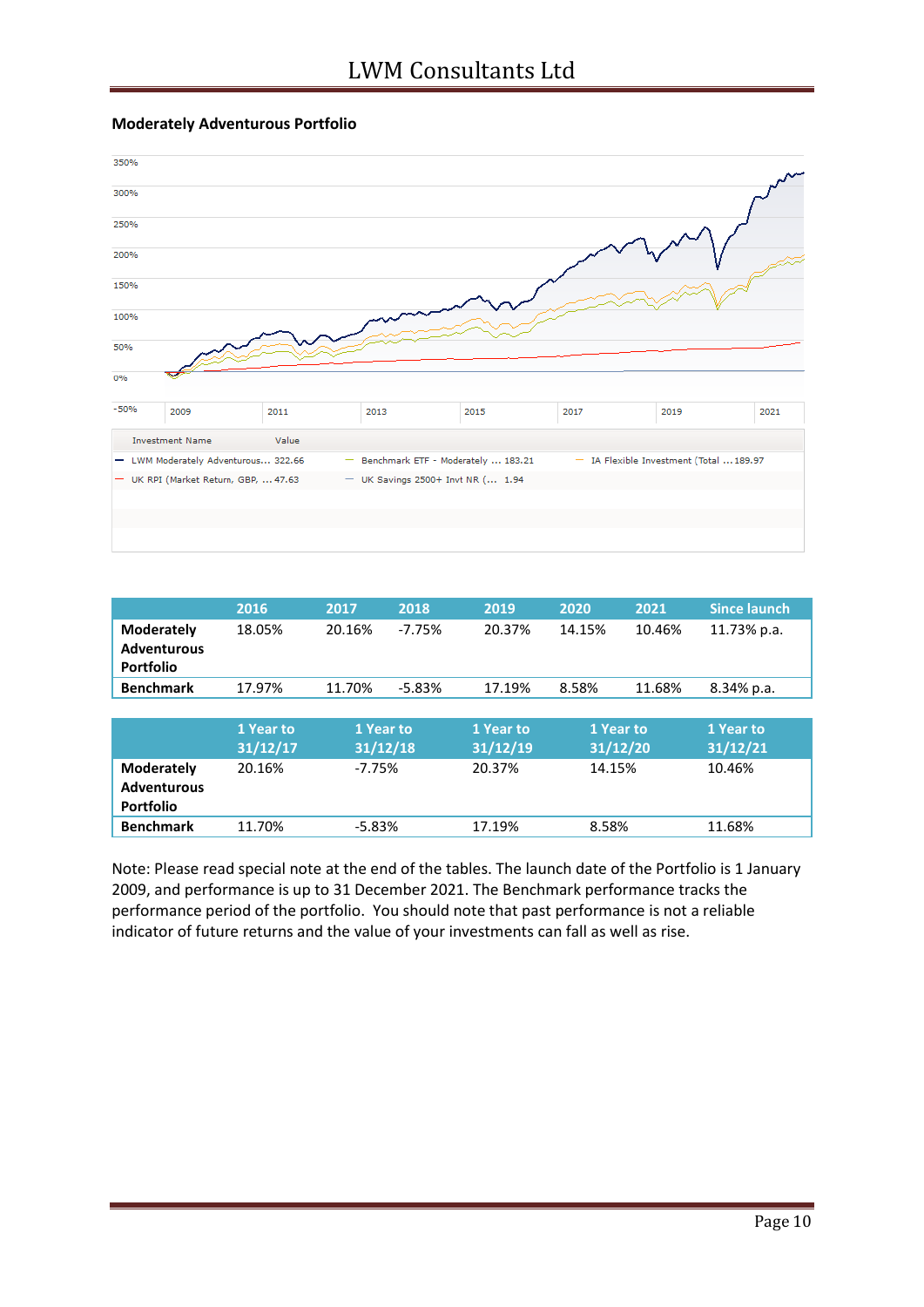



|                                                             | 2016                  | 2017                  | 2018     | 2019                  | 2020                  | 2021   | <b>Since launch</b>   |
|-------------------------------------------------------------|-----------------------|-----------------------|----------|-----------------------|-----------------------|--------|-----------------------|
| <b>Moderately</b><br><b>Adventurous</b><br><b>Portfolio</b> | 18.05%                | 20.16%                | $-7.75%$ | 20.37%                | 14.15%                | 10.46% | 11.73% p.a.           |
| <b>Benchmark</b>                                            | 17.97%                | 11.70%                | $-5.83%$ | 17.19%                | 8.58%                 | 11.68% | 8.34% p.a.            |
|                                                             |                       |                       |          |                       |                       |        |                       |
|                                                             | 1 Year to<br>31/12/17 | 1 Year to<br>31/12/18 |          | 1 Year to<br>31/12/19 | 1 Year to<br>31/12/20 |        | 1 Year to<br>31/12/21 |
| <b>Moderately</b><br><b>Adventurous</b><br><b>Portfolio</b> | 20.16%                |                       | $-7.75%$ |                       | 14.15%                |        | 10.46%                |
| <b>Benchmark</b>                                            | 11.70%                | $-5.83%$              |          | 17.19%                | 8.58%                 |        | 11.68%                |

Note: Please read special note at the end of the tables. The launch date of the Portfolio is 1 January 2009, and performance is up to 31 December 2021. The Benchmark performance tracks the performance period of the portfolio. You should note that past performance is not a reliable indicator of future returns and the value of your investments can fall as well as rise.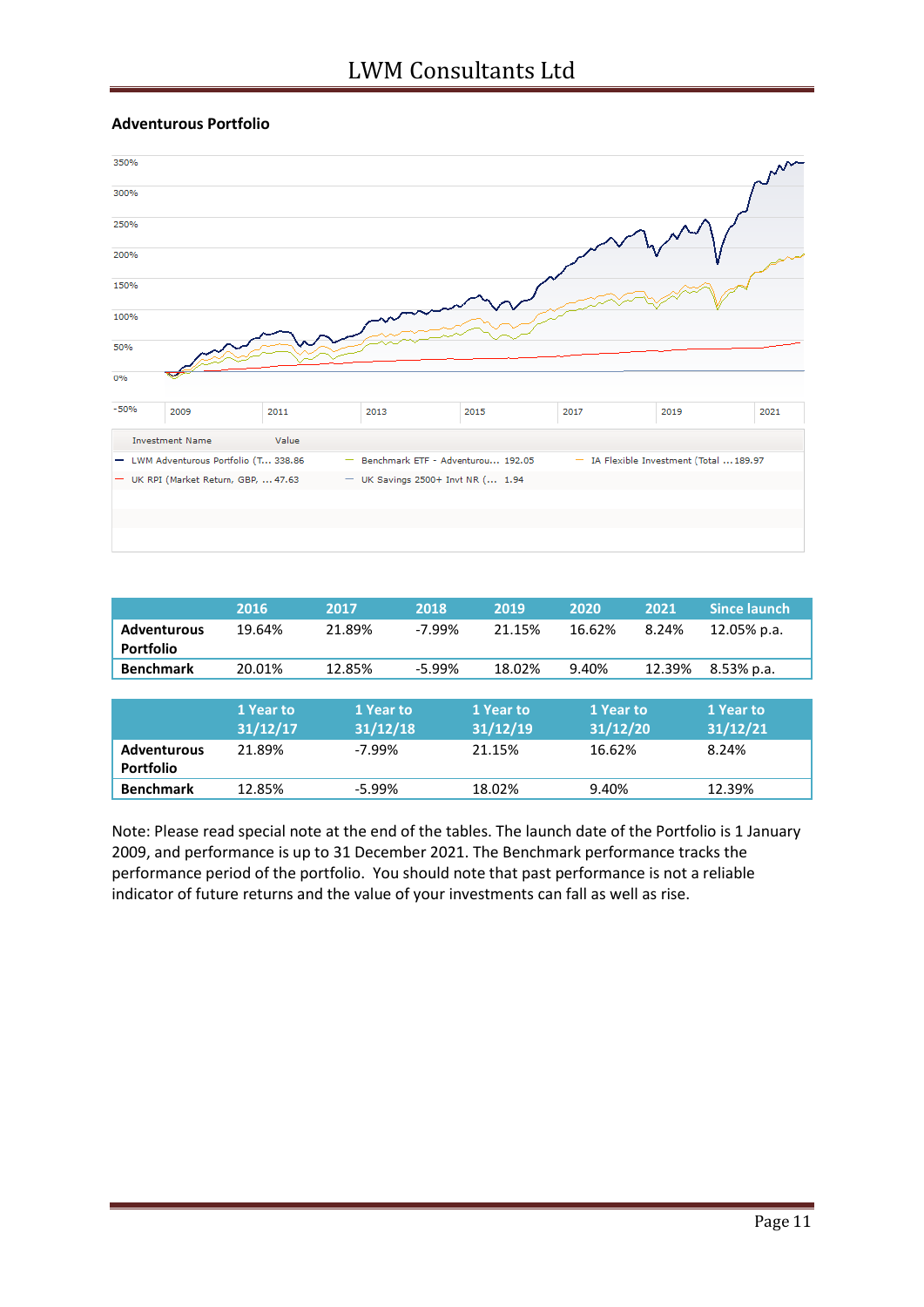#### **Adventurous Portfolio**



|                    | 2016      | 2017      | 2018     | 2019      | 2020      | 2021   | <b>Since launch</b> |  |
|--------------------|-----------|-----------|----------|-----------|-----------|--------|---------------------|--|
| <b>Adventurous</b> | 19.64%    | 21.89%    | $-7.99%$ | 21.15%    | 16.62%    | 8.24%  | 12.05% p.a.         |  |
| <b>Portfolio</b>   |           |           |          |           |           |        |                     |  |
| <b>Benchmark</b>   | 20.01%    | 12.85%    | $-5.99%$ | 18.02%    | 9.40%     | 12.39% | 8.53% p.a.          |  |
|                    |           |           |          |           |           |        |                     |  |
|                    | 1 Year to | 1 Year to |          | 1 Year to | 1 Year to |        | 1 Year to           |  |
|                    |           |           |          |           |           |        |                     |  |
|                    | 31/12/17  | 31/12/18  |          | 31/12/19  | 31/12/20  |        | 31/12/21            |  |
| <b>Adventurous</b> | 21.89%    | $-7.99%$  |          | 21.15%    | 16.62%    |        | 8.24%               |  |
| Portfolio          |           |           |          |           |           |        |                     |  |

Note: Please read special note at the end of the tables. The launch date of the Portfolio is 1 January 2009, and performance is up to 31 December 2021. The Benchmark performance tracks the performance period of the portfolio. You should note that past performance is not a reliable indicator of future returns and the value of your investments can fall as well as rise.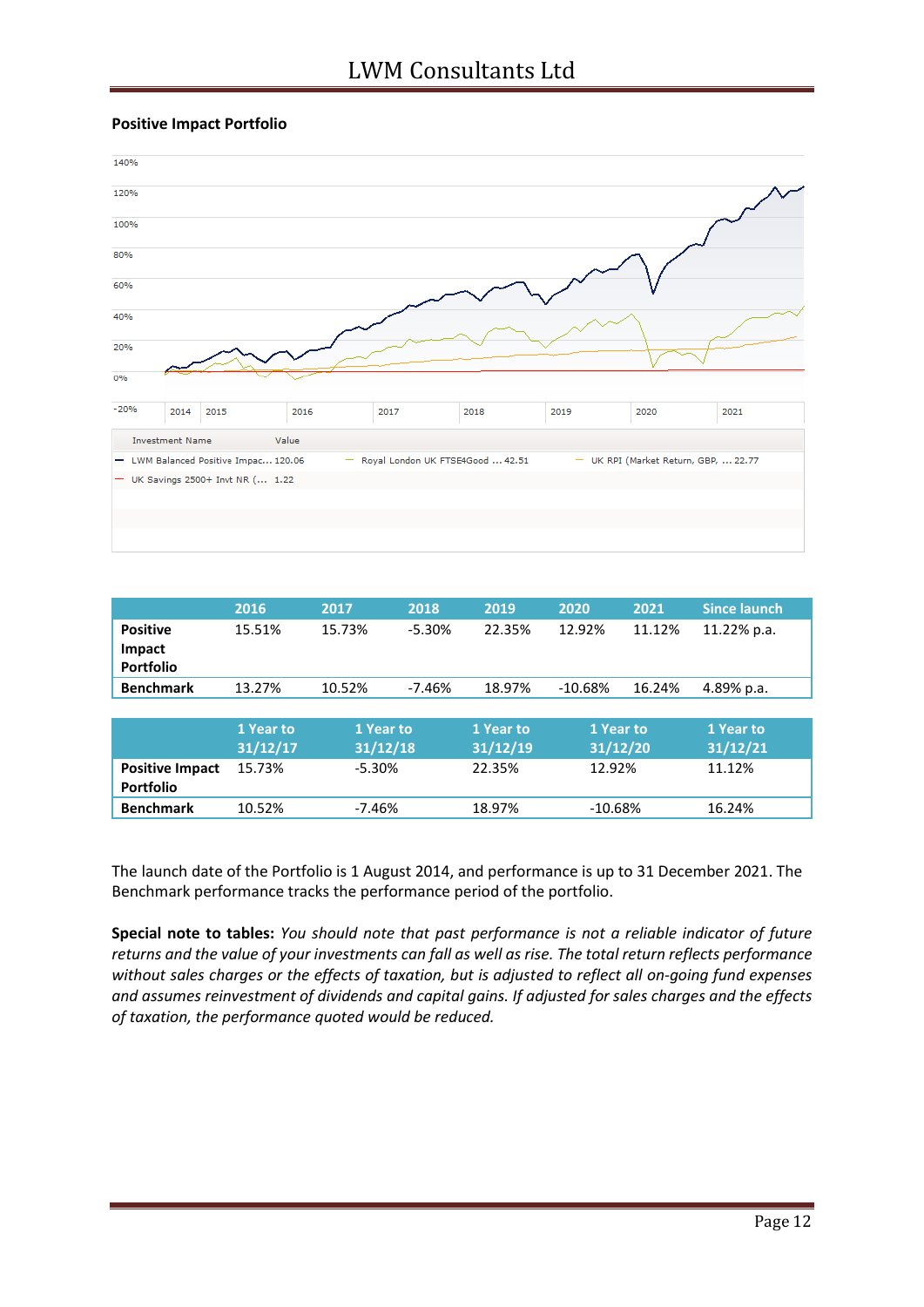#### **Positive Impact Portfolio**



|                        | 2016      | 2017      | 2018     | 2019      | 2020      | 2021   | <b>Since launch</b> |
|------------------------|-----------|-----------|----------|-----------|-----------|--------|---------------------|
| <b>Positive</b>        | 15.51%    | 15.73%    | $-5.30%$ | 22.35%    | 12.92%    | 11.12% | 11.22% p.a.         |
| Impact                 |           |           |          |           |           |        |                     |
| <b>Portfolio</b>       |           |           |          |           |           |        |                     |
| <b>Benchmark</b>       | 13.27%    | 10.52%    | $-7.46%$ | 18.97%    | $-10.68%$ | 16.24% | 4.89% p.a.          |
|                        |           |           |          |           |           |        |                     |
|                        | 1 Year to | 1 Year to |          | 1 Year to | 1 Year to |        | 1 Year to           |
|                        | 31/12/17  | 31/12/18  |          | 31/12/19  | 31/12/20  |        | 31/12/21            |
| <b>Positive Impact</b> | 15.73%    |           | $-5.30%$ |           | 12.92%    |        | 11.12%              |
| <b>Portfolio</b>       |           |           |          |           |           |        |                     |
| <b>Benchmark</b>       | 10.52%    | $-7.46%$  |          | 18.97%    | $-10.68%$ |        | 16.24%              |

The launch date of the Portfolio is 1 August 2014, and performance is up to 31 December 2021. The Benchmark performance tracks the performance period of the portfolio.

**Special note to tables:** *You should note that past performance is not a reliable indicator of future returns and the value of your investments can fall as well as rise. The total return reflects performance without sales charges or the effects of taxation, but is adjusted to reflect all on-going fund expenses and assumes reinvestment of dividends and capital gains. If adjusted for sales charges and the effects of taxation, the performance quoted would be reduced.*